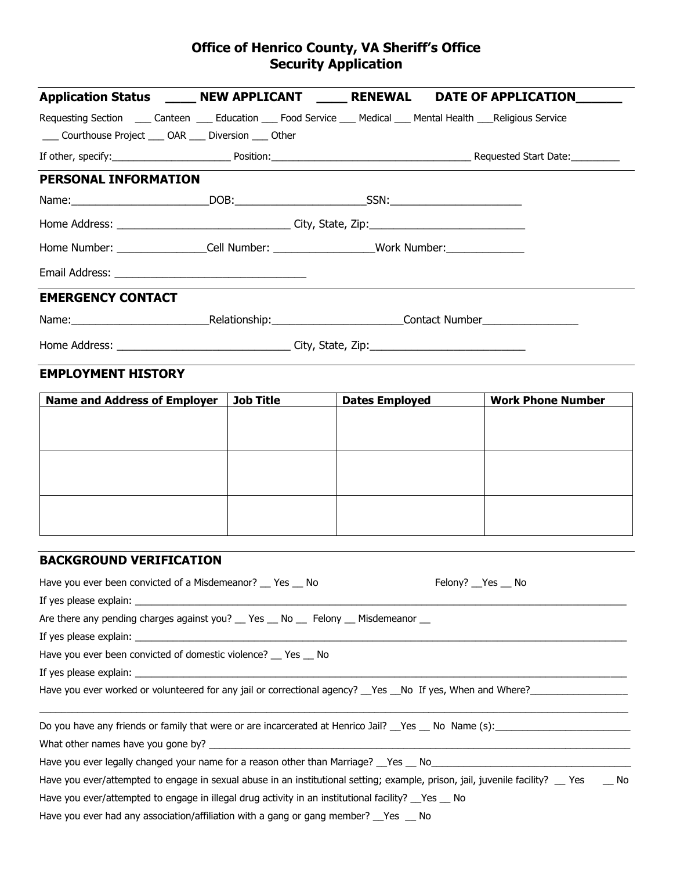## **Office of Henrico County, VA Sheriff's Office Security Application**

|                                                            |                                                                                          | Application Status _______ NEW APPLICANT _______ RENEWAL DATE OF APPLICATION________                                      |
|------------------------------------------------------------|------------------------------------------------------------------------------------------|---------------------------------------------------------------------------------------------------------------------------|
|                                                            |                                                                                          | Requesting Section _____ Canteen _____ Education _____ Food Service ____ Medical ____ Mental Health ____Religious Service |
| ____ Courthouse Project ____ OAR ____ Diversion ____ Other |                                                                                          |                                                                                                                           |
|                                                            |                                                                                          |                                                                                                                           |
| PERSONAL INFORMATION                                       |                                                                                          |                                                                                                                           |
|                                                            |                                                                                          |                                                                                                                           |
|                                                            |                                                                                          |                                                                                                                           |
|                                                            | Home Number: __________________Cell Number: ___________________Work Number: ____________ |                                                                                                                           |
|                                                            |                                                                                          |                                                                                                                           |
| <b>EMERGENCY CONTACT</b>                                   |                                                                                          |                                                                                                                           |
|                                                            |                                                                                          |                                                                                                                           |
|                                                            |                                                                                          |                                                                                                                           |
| <b>EMPLOYMENT HISTORY</b>                                  |                                                                                          |                                                                                                                           |
|                                                            |                                                                                          | Name and Address of Employer   Job Title   Dates Employed   Werk Phone Number                                             |

| <b>Name and Address of Employer</b> | Job Title | <b>Dates Employed</b> | <b>Work Phone Number</b> |
|-------------------------------------|-----------|-----------------------|--------------------------|
|                                     |           |                       |                          |
|                                     |           |                       |                          |
|                                     |           |                       |                          |
|                                     |           |                       |                          |
|                                     |           |                       |                          |
|                                     |           |                       |                          |
|                                     |           |                       |                          |
|                                     |           |                       |                          |
|                                     |           |                       |                          |
|                                     |           |                       |                          |

## **BACKGROUND VERIFICATION**

| Have you ever been convicted of a Misdemeanor? Thes No                                                                                                                                                                         | Felony? Yes No |  |  |  |  |
|--------------------------------------------------------------------------------------------------------------------------------------------------------------------------------------------------------------------------------|----------------|--|--|--|--|
|                                                                                                                                                                                                                                |                |  |  |  |  |
| Are there any pending charges against you? __ Yes __ No __ Felony __ Misdemeanor __                                                                                                                                            |                |  |  |  |  |
| If yes please explain: the contract of the contract of the contract of the contract of the contract of the contract of the contract of the contract of the contract of the contract of the contract of the contract of the con |                |  |  |  |  |
| Have you ever been convicted of domestic violence? Thes The                                                                                                                                                                    |                |  |  |  |  |
|                                                                                                                                                                                                                                |                |  |  |  |  |
|                                                                                                                                                                                                                                |                |  |  |  |  |
|                                                                                                                                                                                                                                |                |  |  |  |  |
|                                                                                                                                                                                                                                |                |  |  |  |  |
| Have you ever legally changed your name for a reason other than Marriage? The State No                                                                                                                                         |                |  |  |  |  |
| Have you ever/attempted to engage in sexual abuse in an institutional setting; example, prison, jail, juvenile facility? __ Yes<br>No.                                                                                         |                |  |  |  |  |
| Have you ever/attempted to engage in illegal drug activity in an institutional facility? $\gamma$ es $\gamma$ No                                                                                                               |                |  |  |  |  |
| Have you ever had any association/affiliation with a gang or gang member? $\_\$ Yes $\_\$ No                                                                                                                                   |                |  |  |  |  |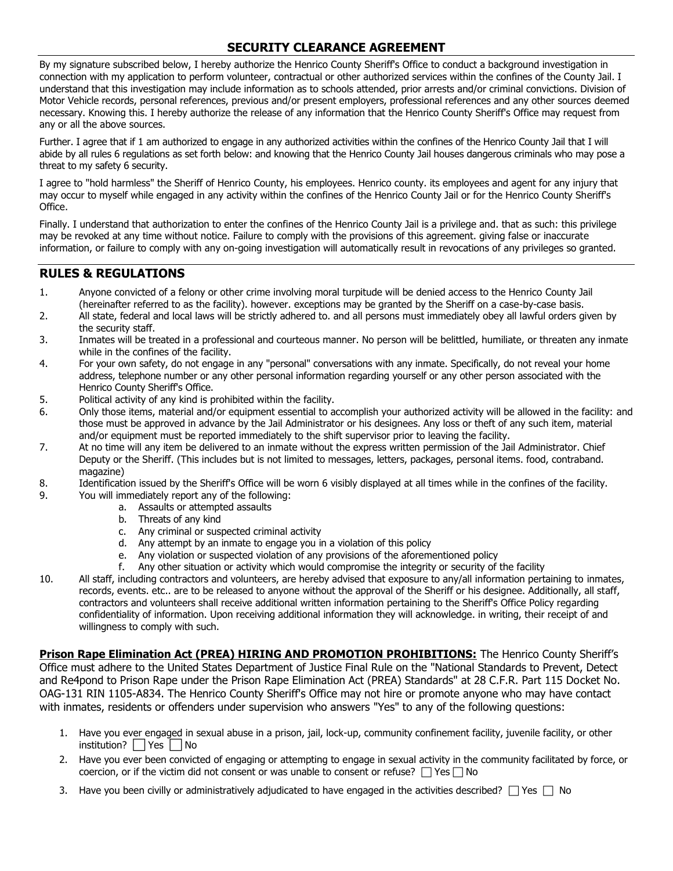## **SECURITY CLEARANCE AGREEMENT**

By my signature subscribed below, I hereby authorize the Henrico County Sheriff's Office to conduct a background investigation in connection with my application to perform volunteer, contractual or other authorized services within the confines of the County Jail. I understand that this investigation may include information as to schools attended, prior arrests and/or criminal convictions. Division of Motor Vehicle records, personal references, previous and/or present employers, professional references and any other sources deemed necessary. Knowing this. I hereby authorize the release of any information that the Henrico County Sheriff's Office may request from any or all the above sources.

Further. I agree that if 1 am authorized to engage in any authorized activities within the confines of the Henrico County Jail that I will abide by all rules 6 regulations as set forth below: and knowing that the Henrico County Jail houses dangerous criminals who may pose a threat to my safety 6 security.

I agree to "hold harmless" the Sheriff of Henrico County, his employees. Henrico county. its employees and agent for any injury that may occur to myself while engaged in any activity within the confines of the Henrico County Jail or for the Henrico County Sheriff's Office.

Finally. I understand that authorization to enter the confines of the Henrico County Jail is a privilege and. that as such: this privilege may be revoked at any time without notice. Failure to comply with the provisions of this agreement. giving false or inaccurate information, or failure to comply with any on-going investigation will automatically result in revocations of any privileges so granted.

## **RULES & REGULATIONS**

- 1. Anyone convicted of a felony or other crime involving moral turpitude will be denied access to the Henrico County Jail (hereinafter referred to as the facility). however. exceptions may be granted by the Sheriff on a case-by-case basis.
- 2. All state, federal and local laws will be strictly adhered to. and all persons must immediately obey all lawful orders given by the security staff.
- 3. Inmates will be treated in a professional and courteous manner. No person will be belittled, humiliate, or threaten any inmate while in the confines of the facility.
- 4. For your own safety, do not engage in any "personal" conversations with any inmate. Specifically, do not reveal your home address, telephone number or any other personal information regarding yourself or any other person associated with the Henrico County Sheriff's Office.
- 5. Political activity of any kind is prohibited within the facility.
- 6. Only those items, material and/or equipment essential to accomplish your authorized activity will be allowed in the facility: and those must be approved in advance by the Jail Administrator or his designees. Any loss or theft of any such item, material and/or equipment must be reported immediately to the shift supervisor prior to leaving the facility.
- 7. At no time will any item be delivered to an inmate without the express written permission of the Jail Administrator. Chief Deputy or the Sheriff. (This includes but is not limited to messages, letters, packages, personal items. food, contraband. magazine)
- 8. Identification issued by the Sheriff's Office will be worn 6 visibly displayed at all times while in the confines of the facility.
- 9. You will immediately report any of the following:
	- a. Assaults or attempted assaults
	- b. Threats of any kind
	- c. Any criminal or suspected criminal activity
	- d. Any attempt by an inmate to engage you in a violation of this policy
	- e. Any violation or suspected violation of any provisions of the aforementioned policy
	- f. Any other situation or activity which would compromise the integrity or security of the facility
- 10. All staff, including contractors and volunteers, are hereby advised that exposure to any/all information pertaining to inmates, records, events. etc.. are to be released to anyone without the approval of the Sheriff or his designee. Additionally, all staff, contractors and volunteers shall receive additional written information pertaining to the Sheriff's Office Policy regarding confidentiality of information. Upon receiving additional information they will acknowledge. in writing, their receipt of and willingness to comply with such.

**Prison Rape Elimination Act (PREA) HIRING AND PROMOTION PROHIBITIONS:** The Henrico County Sheriff's Office must adhere to the United States Department of Justice Final Rule on the "National Standards to Prevent, Detect and Re4pond to Prison Rape under the Prison Rape Elimination Act (PREA) Standards" at 28 C.F.R. Part 115 Docket No. OAG-131 RIN 1105-A834. The Henrico County Sheriff's Office may not hire or promote anyone who may have contact with inmates, residents or offenders under supervision who answers "Yes" to any of the following questions:

- 1. Have you ever engaged in sexual abuse in a prison, jail, lock-up, community confinement facility, juvenile facility, or other institution?  $\Box$  Yes  $\Box$  No
- 2. Have you ever been convicted of engaging or attempting to engage in sexual activity in the community facilitated by force, or coercion, or if the victim did not consent or was unable to consent or refuse?  $\Box$  Yes  $\Box$  No
- 3. Have you been civilly or administratively adjudicated to have engaged in the activities described?  $\Box$  Yes  $\Box$  No